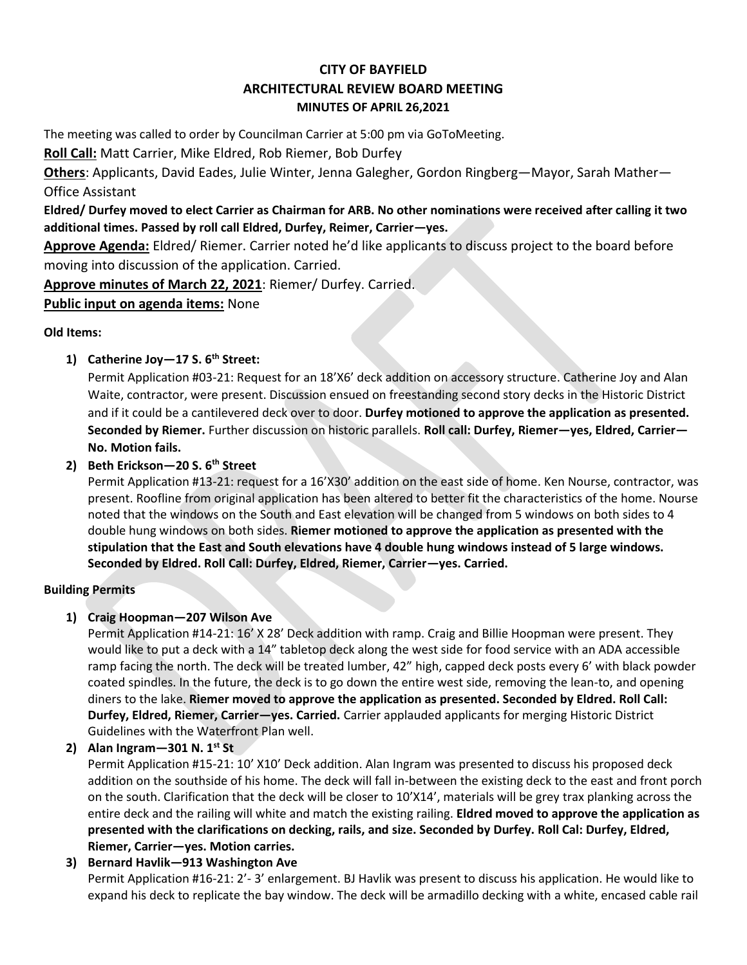# **CITY OF BAYFIELD ARCHITECTURAL REVIEW BOARD MEETING MINUTES OF APRIL 26,2021**

The meeting was called to order by Councilman Carrier at 5:00 pm via GoToMeeting.

**Roll Call:** Matt Carrier, Mike Eldred, Rob Riemer, Bob Durfey

**Others**: Applicants, David Eades, Julie Winter, Jenna Galegher, Gordon Ringberg—Mayor, Sarah Mather— Office Assistant

**Eldred/ Durfey moved to elect Carrier as Chairman for ARB. No other nominations were received after calling it two additional times. Passed by roll call Eldred, Durfey, Reimer, Carrier—yes.** 

**Approve Agenda:** Eldred/ Riemer. Carrier noted he'd like applicants to discuss project to the board before moving into discussion of the application. Carried.

**Approve minutes of March 22, 2021**: Riemer/ Durfey. Carried.

**Public input on agenda items:** None

### **Old Items:**

## **1) Catherine Joy—17 S. 6th Street:**

Permit Application #03-21: Request for an 18'X6' deck addition on accessory structure. Catherine Joy and Alan Waite, contractor, were present. Discussion ensued on freestanding second story decks in the Historic District and if it could be a cantilevered deck over to door. **Durfey motioned to approve the application as presented. Seconded by Riemer.** Further discussion on historic parallels. **Roll call: Durfey, Riemer—yes, Eldred, Carrier— No. Motion fails.** 

## **2) Beth Erickson—20 S. 6th Street**

Permit Application #13-21: request for a 16'X30' addition on the east side of home. Ken Nourse, contractor, was present. Roofline from original application has been altered to better fit the characteristics of the home. Nourse noted that the windows on the South and East elevation will be changed from 5 windows on both sides to 4 double hung windows on both sides. **Riemer motioned to approve the application as presented with the stipulation that the East and South elevations have 4 double hung windows instead of 5 large windows. Seconded by Eldred. Roll Call: Durfey, Eldred, Riemer, Carrier—yes. Carried.** 

## **Building Permits**

## **1) Craig Hoopman—207 Wilson Ave**

Permit Application #14-21: 16' X 28' Deck addition with ramp. Craig and Billie Hoopman were present. They would like to put a deck with a 14" tabletop deck along the west side for food service with an ADA accessible ramp facing the north. The deck will be treated lumber, 42" high, capped deck posts every 6' with black powder coated spindles. In the future, the deck is to go down the entire west side, removing the lean-to, and opening diners to the lake. **Riemer moved to approve the application as presented. Seconded by Eldred. Roll Call: Durfey, Eldred, Riemer, Carrier—yes. Carried.** Carrier applauded applicants for merging Historic District Guidelines with the Waterfront Plan well.

**2) Alan Ingram—301 N. 1st St**

Permit Application #15-21: 10' X10' Deck addition. Alan Ingram was presented to discuss his proposed deck addition on the southside of his home. The deck will fall in-between the existing deck to the east and front porch on the south. Clarification that the deck will be closer to 10'X14', materials will be grey trax planking across the entire deck and the railing will white and match the existing railing. **Eldred moved to approve the application as presented with the clarifications on decking, rails, and size. Seconded by Durfey. Roll Cal: Durfey, Eldred, Riemer, Carrier—yes. Motion carries.** 

## **3) Bernard Havlik—913 Washington Ave**

Permit Application #16-21: 2'- 3' enlargement. BJ Havlik was present to discuss his application. He would like to expand his deck to replicate the bay window. The deck will be armadillo decking with a white, encased cable rail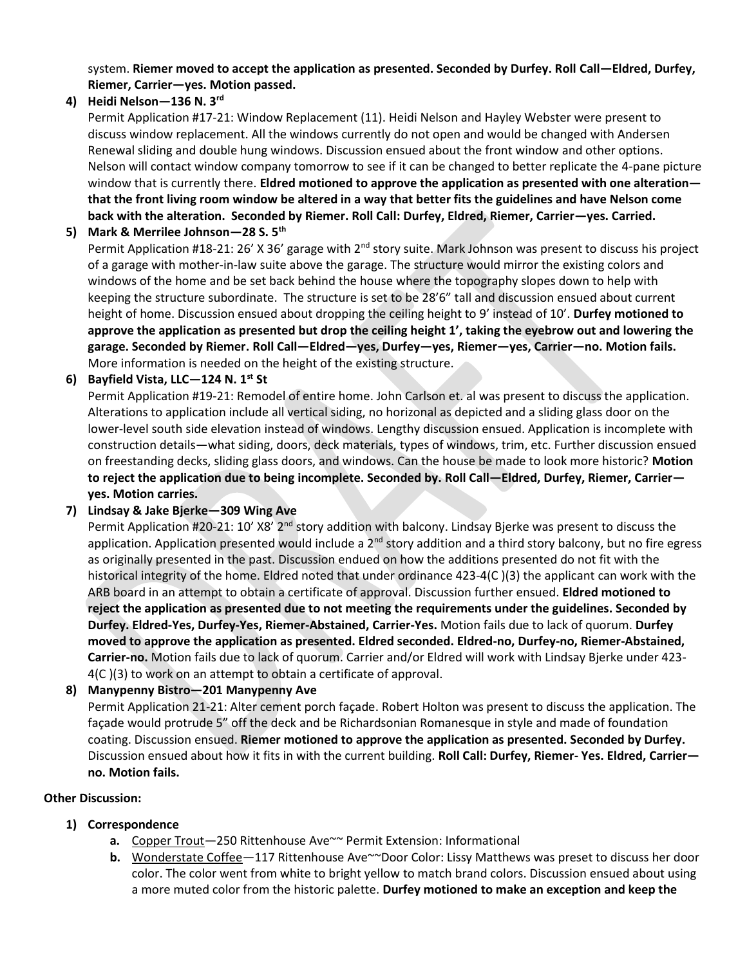system. **Riemer moved to accept the application as presented. Seconded by Durfey. Roll Call—Eldred, Durfey, Riemer, Carrier—yes. Motion passed.** 

### **4) Heidi Nelson—136 N. 3rd**

Permit Application #17-21: Window Replacement (11). Heidi Nelson and Hayley Webster were present to discuss window replacement. All the windows currently do not open and would be changed with Andersen Renewal sliding and double hung windows. Discussion ensued about the front window and other options. Nelson will contact window company tomorrow to see if it can be changed to better replicate the 4-pane picture window that is currently there. **Eldred motioned to approve the application as presented with one alteration that the front living room window be altered in a way that better fits the guidelines and have Nelson come back with the alteration. Seconded by Riemer. Roll Call: Durfey, Eldred, Riemer, Carrier—yes. Carried.** 

#### **5) Mark & Merrilee Johnson—28 S. 5th**

Permit Application #18-21: 26' X 36' garage with  $2^{nd}$  story suite. Mark Johnson was present to discuss his project of a garage with mother-in-law suite above the garage. The structure would mirror the existing colors and windows of the home and be set back behind the house where the topography slopes down to help with keeping the structure subordinate. The structure is set to be 28'6" tall and discussion ensued about current height of home. Discussion ensued about dropping the ceiling height to 9' instead of 10'. **Durfey motioned to approve the application as presented but drop the ceiling height 1', taking the eyebrow out and lowering the garage. Seconded by Riemer. Roll Call—Eldred—yes, Durfey—yes, Riemer—yes, Carrier—no. Motion fails.**  More information is needed on the height of the existing structure.

#### **6) Bayfield Vista, LLC—124 N. 1st St**

Permit Application #19-21: Remodel of entire home. John Carlson et. al was present to discuss the application. Alterations to application include all vertical siding, no horizonal as depicted and a sliding glass door on the lower-level south side elevation instead of windows. Lengthy discussion ensued. Application is incomplete with construction details—what siding, doors, deck materials, types of windows, trim, etc. Further discussion ensued on freestanding decks, sliding glass doors, and windows. Can the house be made to look more historic? **Motion to reject the application due to being incomplete. Seconded by. Roll Call—Eldred, Durfey, Riemer, Carrier yes. Motion carries.** 

#### **7) Lindsay & Jake Bjerke—309 Wing Ave**

Permit Application #20-21: 10' X8' 2<sup>nd</sup> story addition with balcony. Lindsay Bjerke was present to discuss the application. Application presented would include a 2<sup>nd</sup> story addition and a third story balcony, but no fire egress as originally presented in the past. Discussion endued on how the additions presented do not fit with the historical integrity of the home. Eldred noted that under ordinance 423-4(C)(3) the applicant can work with the ARB board in an attempt to obtain a certificate of approval. Discussion further ensued. **Eldred motioned to reject the application as presented due to not meeting the requirements under the guidelines. Seconded by Durfey. Eldred-Yes, Durfey-Yes, Riemer-Abstained, Carrier-Yes.** Motion fails due to lack of quorum. **Durfey moved to approve the application as presented. Eldred seconded. Eldred-no, Durfey-no, Riemer-Abstained, Carrier-no.** Motion fails due to lack of quorum. Carrier and/or Eldred will work with Lindsay Bjerke under 423- 4(C )(3) to work on an attempt to obtain a certificate of approval.

### **8) Manypenny Bistro—201 Manypenny Ave**

Permit Application 21-21: Alter cement porch façade. Robert Holton was present to discuss the application. The façade would protrude 5" off the deck and be Richardsonian Romanesque in style and made of foundation coating. Discussion ensued. **Riemer motioned to approve the application as presented. Seconded by Durfey.**  Discussion ensued about how it fits in with the current building. **Roll Call: Durfey, Riemer- Yes. Eldred, Carrier no. Motion fails.** 

#### **Other Discussion:**

### **1) Correspondence**

- **a.** Copper Trout—250 Rittenhouse Ave~~ Permit Extension: Informational
- **b.** Wonderstate Coffee—117 Rittenhouse Ave~~Door Color: Lissy Matthews was preset to discuss her door color. The color went from white to bright yellow to match brand colors. Discussion ensued about using a more muted color from the historic palette. **Durfey motioned to make an exception and keep the**